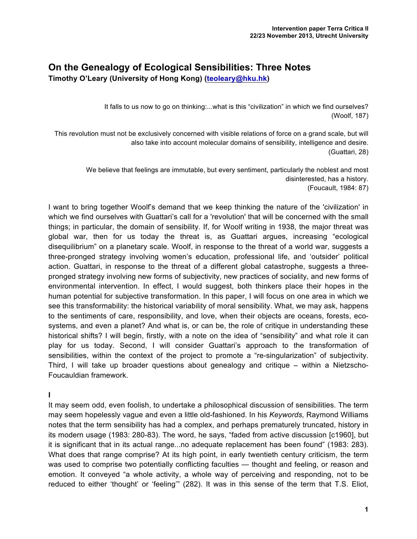## **On the Genealogy of Ecological Sensibilities: Three Notes**

**Timothy O'Leary (University of Hong Kong) (teoleary@hku.hk)**

It falls to us now to go on thinking:...what is this "civilization" in which we find ourselves? (Woolf, 187)

This revolution must not be exclusively concerned with visible relations of force on a grand scale, but will also take into account molecular domains of sensibility, intelligence and desire. (Guattari, 28)

> We believe that feelings are immutable, but every sentiment, particularly the noblest and most disinterested, has a history. (Foucault, 1984: 87)

I want to bring together Woolf's demand that we keep thinking the nature of the 'civilization' in which we find ourselves with Guattari's call for a 'revolution' that will be concerned with the small things; in particular, the domain of sensibility. If, for Woolf writing in 1938, the major threat was global war, then for us today the threat is, as Guattari argues, increasing "ecological disequilibrium" on a planetary scale. Woolf, in response to the threat of a world war, suggests a three-pronged strategy involving women's education, professional life, and 'outsider' political action. Guattari, in response to the threat of a different global catastrophe, suggests a threepronged strategy involving new forms of subjectivity, new practices of sociality, and new forms of environmental intervention. In effect, I would suggest, both thinkers place their hopes in the human potential for subjective transformation. In this paper, I will focus on one area in which we see this transformability: the historical variability of moral sensibility. What, we may ask, happens to the sentiments of care, responsibility, and love, when their objects are oceans, forests, ecosystems, and even a planet? And what is, or can be, the role of critique in understanding these historical shifts? I will begin, firstly, with a note on the idea of "sensibility" and what role it can play for us today. Second, I will consider Guattari's approach to the transformation of sensibilities, within the context of the project to promote a "re-singularization" of subjectivity. Third, I will take up broader questions about genealogy and critique – within a Nietzscho-Foucauldian framework.

**I**

It may seem odd, even foolish, to undertake a philosophical discussion of sensibilities. The term may seem hopelessly vague and even a little old-fashioned. In his *Keywords,* Raymond Williams notes that the term sensibility has had a complex, and perhaps prematurely truncated, history in its modern usage (1983: 280-83). The word, he says, "faded from active discussion [c1960], but it is significant that in its actual range...no adequate replacement has been found" (1983: 283). What does that range comprise? At its high point, in early twentieth century criticism, the term was used to comprise two potentially conflicting faculties — thought and feeling, or reason and emotion. It conveyed "a whole activity, a whole way of perceiving and responding, not to be reduced to either 'thought' or 'feeling'" (282). It was in this sense of the term that T.S. Eliot,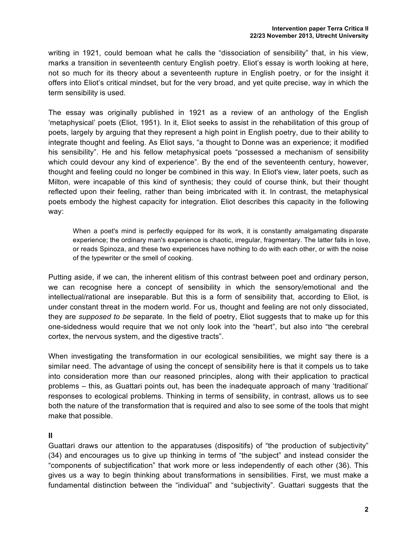writing in 1921, could bemoan what he calls the "dissociation of sensibility" that, in his view, marks a transition in seventeenth century English poetry. Eliot's essay is worth looking at here, not so much for its theory about a seventeenth rupture in English poetry, or for the insight it offers into Eliot's critical mindset, but for the very broad, and yet quite precise, way in which the term sensibility is used.

The essay was originally published in 1921 as a review of an anthology of the English 'metaphysical' poets (Eliot, 1951). In it, Eliot seeks to assist in the rehabilitation of this group of poets, largely by arguing that they represent a high point in English poetry, due to their ability to integrate thought and feeling. As Eliot says, "a thought to Donne was an experience; it modified his sensibility". He and his fellow metaphysical poets "possessed a mechanism of sensibility which could devour any kind of experience". By the end of the seventeenth century, however, thought and feeling could no longer be combined in this way. In Eliot's view, later poets, such as Milton, were incapable of this kind of synthesis; they could of course think, but their thought reflected upon their feeling, rather than being imbricated with it. In contrast, the metaphysical poets embody the highest capacity for integration. Eliot describes this capacity in the following way:

When a poet's mind is perfectly equipped for its work, it is constantly amalgamating disparate experience; the ordinary man's experience is chaotic, irregular, fragmentary. The latter falls in love, or reads Spinoza, and these two experiences have nothing to do with each other, or with the noise of the typewriter or the smell of cooking.

Putting aside, if we can, the inherent elitism of this contrast between poet and ordinary person, we can recognise here a concept of sensibility in which the sensory/emotional and the intellectual/rational are inseparable. But this is a form of sensibility that, according to Eliot, is under constant threat in the modern world. For us, thought and feeling are not only dissociated, they are *supposed to be* separate. In the field of poetry, Eliot suggests that to make up for this one-sidedness would require that we not only look into the "heart", but also into "the cerebral cortex, the nervous system, and the digestive tracts".

When investigating the transformation in our ecological sensibilities, we might say there is a similar need. The advantage of using the concept of sensibility here is that it compels us to take into consideration more than our reasoned principles, along with their application to practical problems – this, as Guattari points out, has been the inadequate approach of many 'traditional' responses to ecological problems. Thinking in terms of sensibility, in contrast, allows us to see both the nature of the transformation that is required and also to see some of the tools that might make that possible.

## **II**

Guattari draws our attention to the apparatuses (dispositifs) of "the production of subjectivity" (34) and encourages us to give up thinking in terms of "the subject" and instead consider the "components of subjectification" that work more or less independently of each other (36). This gives us a way to begin thinking about transformations in sensibilities. First, we must make a fundamental distinction between the "individual" and "subjectivity". Guattari suggests that the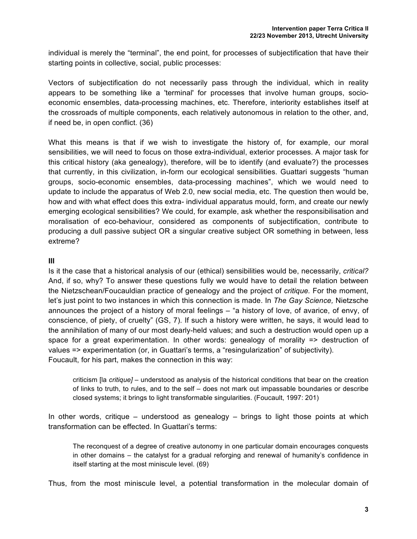individual is merely the "terminal", the end point, for processes of subjectification that have their starting points in collective, social, public processes:

Vectors of subjectification do not necessarily pass through the individual, which in reality appears to be something like a 'terminal' for processes that involve human groups, socioeconomic ensembles, data-processing machines, etc. Therefore, interiority establishes itself at the crossroads of multiple components, each relatively autonomous in relation to the other, and, if need be, in open conflict. (36)

What this means is that if we wish to investigate the history of, for example, our moral sensibilities, we will need to focus on those extra-individual, exterior processes. A major task for this critical history (aka genealogy), therefore, will be to identify (and evaluate?) the processes that currently, in this civilization, in-form our ecological sensibilities. Guattari suggests "human groups, socio-economic ensembles, data-processing machines", which we would need to update to include the apparatus of Web 2.0, new social media, etc. The question then would be, how and with what effect does this extra- individual apparatus mould, form, and create our newly emerging ecological sensibilities? We could, for example, ask whether the responsibilisation and moralisation of eco-behaviour, considered as components of subjectification, contribute to producing a dull passive subject OR a singular creative subject OR something in between, less extreme?

## **III**

Is it the case that a historical analysis of our (ethical) sensibilities would be, necessarily, *critical?*  And, if so, why? To answer these questions fully we would have to detail the relation between the Nietzschean/Foucauldian practice of genealogy and the project of *critique.* For the moment, let's just point to two instances in which this connection is made. In *The Gay Science,* Nietzsche announces the project of a history of moral feelings – "a history of love, of avarice, of envy, of conscience, of piety, of cruelty" (GS, 7). If such a history were written, he says, it would lead to the annihilation of many of our most dearly-held values; and such a destruction would open up a space for a great experimentation. In other words: genealogy of morality => destruction of values => experimentation (or, in Guattari's terms, a "resingularization" of subjectivity). Foucault, for his part, makes the connection in this way:

criticism [la *critique]* – understood as analysis of the historical conditions that bear on the creation of links to truth, to rules, and to the self – does not mark out impassable boundaries or describe closed systems; it brings to light transformable singularities. (Foucault, 1997: 201)

In other words, critique – understood as genealogy – brings to light those points at which transformation can be effected. In Guattari's terms:

The reconquest of a degree of creative autonomy in one particular domain encourages conquests in other domains – the catalyst for a gradual reforging and renewal of humanity's confidence in itself starting at the most miniscule level. (69)

Thus, from the most miniscule level, a potential transformation in the molecular domain of